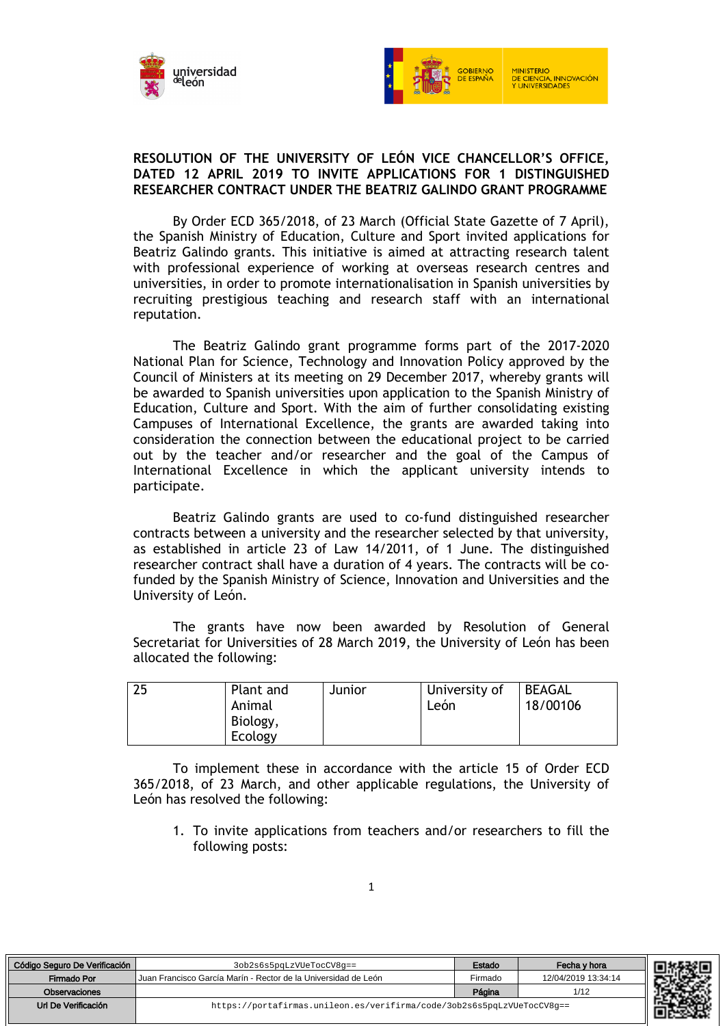



## **RESOLUTION OF THE UNIVERSITY OF LEÓN VICE CHANCELLOR'S OFFICE, DATED 12 APRIL 2019 TO INVITE APPLICATIONS FOR 1 DISTINGUISHED RESEARCHER CONTRACT UNDER THE BEATRIZ GALINDO GRANT PROGRAMME**

By Order ECD 365/2018, of 23 March (Official State Gazette of 7 April), the Spanish Ministry of Education, Culture and Sport invited applications for Beatriz Galindo grants. This initiative is aimed at attracting research talent with professional experience of working at overseas research centres and universities, in order to promote internationalisation in Spanish universities by recruiting prestigious teaching and research staff with an international reputation.

The Beatriz Galindo grant programme forms part of the 2017-2020 National Plan for Science, Technology and Innovation Policy approved by the Council of Ministers at its meeting on 29 December 2017, whereby grants will be awarded to Spanish universities upon application to the Spanish Ministry of Education, Culture and Sport. With the aim of further consolidating existing Campuses of International Excellence, the grants are awarded taking into consideration the connection between the educational project to be carried out by the teacher and/or researcher and the goal of the Campus of International Excellence in which the applicant university intends to participate.

Beatriz Galindo grants are used to co-fund distinguished researcher contracts between a university and the researcher selected by that university, as established in article 23 of Law 14/2011, of 1 June. The distinguished researcher contract shall have a duration of 4 years. The contracts will be cofunded by the Spanish Ministry of Science, Innovation and Universities and the University of León.

The grants have now been awarded by Resolution of General Secretariat for Universities of 28 March 2019, the University of León has been allocated the following:

| 25<br>Plant and<br>Animal<br>Biology,<br>Ecology | Junior | University of<br>León | <b>BEAGAL</b><br>18/00106 |
|--------------------------------------------------|--------|-----------------------|---------------------------|
|--------------------------------------------------|--------|-----------------------|---------------------------|

To implement these in accordance with the article 15 of Order ECD 365/2018, of 23 March, and other applicable regulations, the University of León has resolved the following:

1. To invite applications from teachers and/or researchers to fill the following posts:

| Código Seguro De Verificación | 3ob2s6s5pqLzVUeTocCV8q==                                               | Estado  | Fecha y hora        | 回热       |
|-------------------------------|------------------------------------------------------------------------|---------|---------------------|----------|
| Firmado Por                   | Uuan Francisco García Marín - Rector de la Universidad de León         | Firmado | 12/04/2019 13:34:14 | <b>轻</b> |
| Observaciones                 |                                                                        | Página  | 1/12                |          |
| Url De Verificación           | https://portafirmas.unileon.es/verifirma/code/3ob2s6s5pqLzVUeTocCV8q== |         |                     | 肛        |
|                               |                                                                        |         |                     | . i Sic  |

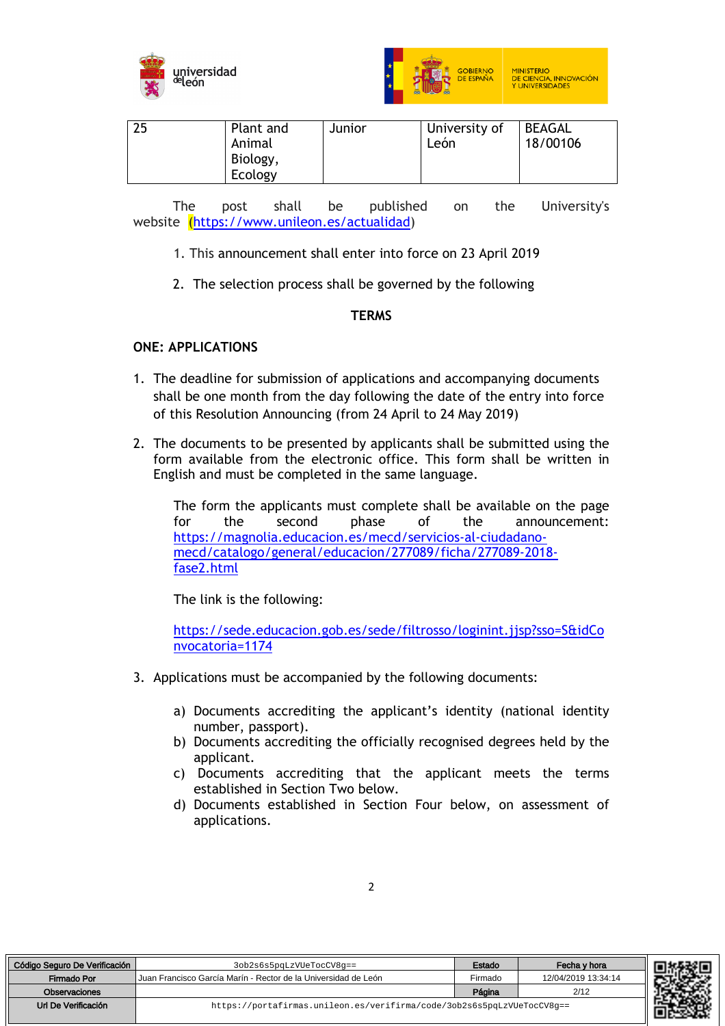



| 25<br>University of<br><b>BEAGAL</b><br>Plant and<br>Junior<br>León<br>18/00106<br>Animal<br>Biology,<br>Ecology |
|------------------------------------------------------------------------------------------------------------------|
|------------------------------------------------------------------------------------------------------------------|

The post shall be published on the University's website (https://www.unileon.es/actualidad)

- 1. This announcement shall enter into force on 23 April 2019
- 2. The selection process shall be governed by the following

## **TERMS**

## **ONE: APPLICATIONS**

- 1. The deadline for submission of applications and accompanying documents shall be one month from the day following the date of the entry into force of this Resolution Announcing (from 24 April to 24 May 2019)
- 2. The documents to be presented by applicants shall be submitted using the form available from the electronic office. This form shall be written in English and must be completed in the same language.

The form the applicants must complete shall be available on the page for the second phase of the announcement: https://magnolia.educacion.es/mecd/servicios-al-ciudadanomecd/catalogo/general/educacion/277089/ficha/277089-2018 fase2.html

The link is the following:

https://sede.educacion.gob.es/sede/filtrosso/loginint.jjsp?sso=S&idCo nvocatoria=1174

- 3. Applications must be accompanied by the following documents:
	- a) Documents accrediting the applicant's identity (national identity number, passport).
	- b) Documents accrediting the officially recognised degrees held by the applicant.
	- c) Documents accrediting that the applicant meets the terms established in Section Two below.
	- d) Documents established in Section Four below, on assessment of applications.

| Código Seguro De Verificación | 3ob2s6s5pqLzVUeTocCV8q==                                               | Estado  | Fecha v hora        | r E.Z |
|-------------------------------|------------------------------------------------------------------------|---------|---------------------|-------|
| Firmado Por                   | Uuan Francisco García Marín - Rector de la Universidad de León         | Firmado | 12/04/2019 13:34:14 |       |
| <b>Observaciones</b>          |                                                                        | Página  | 2/12                |       |
| Url De Verificación           | https://portafirmas.unileon.es/verifirma/code/3ob2s6s5pqLzVUeTocCV8q== |         |                     |       |

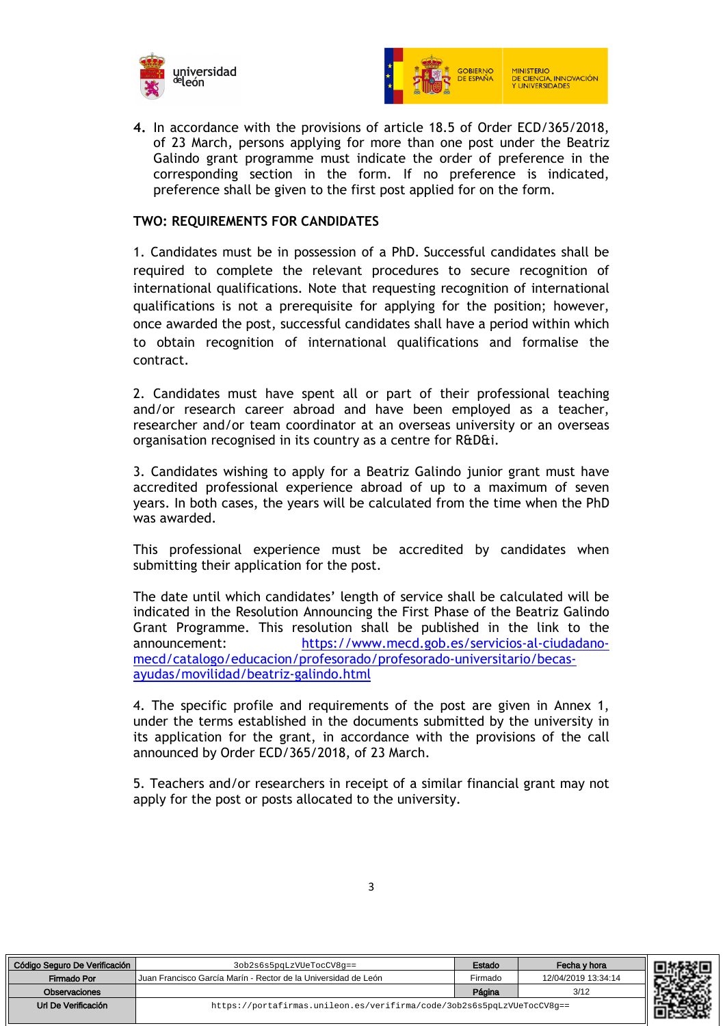



**4.** In accordance with the provisions of article 18.5 of Order ECD/365/2018, of 23 March, persons applying for more than one post under the Beatriz Galindo grant programme must indicate the order of preference in the corresponding section in the form. If no preference is indicated, preference shall be given to the first post applied for on the form.

#### **TWO: REQUIREMENTS FOR CANDIDATES**

1. Candidates must be in possession of a PhD. Successful candidates shall be required to complete the relevant procedures to secure recognition of international qualifications. Note that requesting recognition of international qualifications is not a prerequisite for applying for the position; however, once awarded the post, successful candidates shall have a period within which to obtain recognition of international qualifications and formalise the contract.

2. Candidates must have spent all or part of their professional teaching and/or research career abroad and have been employed as a teacher, researcher and/or team coordinator at an overseas university or an overseas organisation recognised in its country as a centre for R&D&i.

3. Candidates wishing to apply for a Beatriz Galindo junior grant must have accredited professional experience abroad of up to a maximum of seven years. In both cases, the years will be calculated from the time when the PhD was awarded.

This professional experience must be accredited by candidates when submitting their application for the post.

The date until which candidates' length of service shall be calculated will be indicated in the Resolution Announcing the First Phase of the Beatriz Galindo Grant Programme. This resolution shall be published in the link to the announcement: https://www.mecd.gob.es/servicios-al-ciudadanomecd/catalogo/educacion/profesorado/profesorado-universitario/becasayudas/movilidad/beatriz-galindo.html

4. The specific profile and requirements of the post are given in Annex 1, under the terms established in the documents submitted by the university in its application for the grant, in accordance with the provisions of the call announced by Order ECD/365/2018, of 23 March.

5. Teachers and/or researchers in receipt of a similar financial grant may not apply for the post or posts allocated to the university.

| Código Seguro De Verificación | 3ob2s6s5pqLzVUeTocCV8q==                                               | Estado  | Fecha v hora        |
|-------------------------------|------------------------------------------------------------------------|---------|---------------------|
| Firmado Por                   | Uuan Francisco García Marín - Rector de la Universidad de León         | Firmado | 12/04/2019 13:34:14 |
| Observaciones                 |                                                                        | Página  | 3/12                |
| Url De Verificación           | https://portafirmas.unileon.es/verifirma/code/3ob2s6s5pqLzVUeTocCV8q== |         |                     |

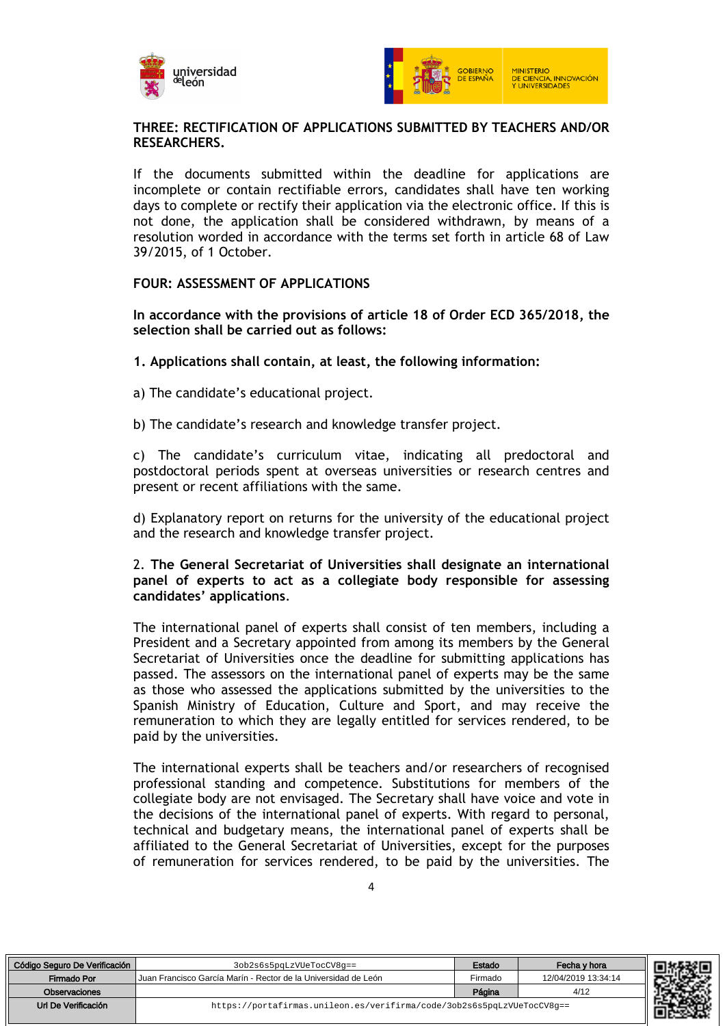



## **THREE: RECTIFICATION OF APPLICATIONS SUBMITTED BY TEACHERS AND/OR RESEARCHERS.**

If the documents submitted within the deadline for applications are incomplete or contain rectifiable errors, candidates shall have ten working days to complete or rectify their application via the electronic office. If this is not done, the application shall be considered withdrawn, by means of a resolution worded in accordance with the terms set forth in article 68 of Law 39/2015, of 1 October.

#### **FOUR: ASSESSMENT OF APPLICATIONS**

**In accordance with the provisions of article 18 of Order ECD 365/2018, the selection shall be carried out as follows:**

- **1. Applications shall contain, at least, the following information:**
- a) The candidate's educational project.
- b) The candidate's research and knowledge transfer project.

c) The candidate's curriculum vitae, indicating all predoctoral and postdoctoral periods spent at overseas universities or research centres and present or recent affiliations with the same.

d) Explanatory report on returns for the university of the educational project and the research and knowledge transfer project.

#### 2. **The General Secretariat of Universities shall designate an international panel of experts to act as a collegiate body responsible for assessing candidates' applications**.

The international panel of experts shall consist of ten members, including a President and a Secretary appointed from among its members by the General Secretariat of Universities once the deadline for submitting applications has passed. The assessors on the international panel of experts may be the same as those who assessed the applications submitted by the universities to the Spanish Ministry of Education, Culture and Sport, and may receive the remuneration to which they are legally entitled for services rendered, to be paid by the universities.

The international experts shall be teachers and/or researchers of recognised professional standing and competence. Substitutions for members of the collegiate body are not envisaged. The Secretary shall have voice and vote in the decisions of the international panel of experts. With regard to personal, technical and budgetary means, the international panel of experts shall be affiliated to the General Secretariat of Universities, except for the purposes of remuneration for services rendered, to be paid by the universities. The

| ٧      |  |
|--------|--|
| ٠<br>I |  |

| Código Seguro De Verificación | 3ob2s6s5pqLzVUeTocCV8q==                                               | Estado  | Fecha v hora        |
|-------------------------------|------------------------------------------------------------------------|---------|---------------------|
| Firmado Por                   | Juan Francisco García Marín - Rector de la Universidad de León         | Firmado | 12/04/2019 13:34:14 |
| Observaciones                 |                                                                        | Página  | 4/12                |
| Url De Verificación           | https://portafirmas.unileon.es/verifirma/code/3ob2s6s5pqLzVUeTocCV8q== |         |                     |

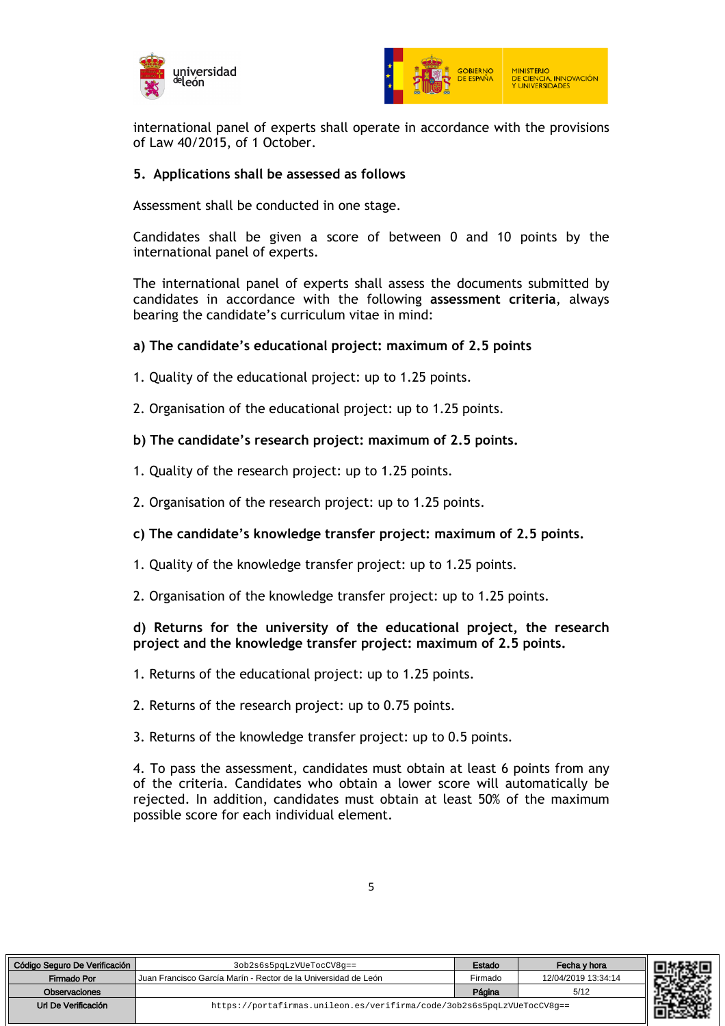



international panel of experts shall operate in accordance with the provisions of Law 40/2015, of 1 October.

#### **5. Applications shall be assessed as follows**

Assessment shall be conducted in one stage.

Candidates shall be given a score of between 0 and 10 points by the international panel of experts.

The international panel of experts shall assess the documents submitted by candidates in accordance with the following **assessment criteria**, always bearing the candidate's curriculum vitae in mind:

#### **a) The candidate's educational project: maximum of 2.5 points**

- 1. Quality of the educational project: up to 1.25 points.
- 2. Organisation of the educational project: up to 1.25 points.
- **b) The candidate's research project: maximum of 2.5 points.**
- 1. Quality of the research project: up to 1.25 points.
- 2. Organisation of the research project: up to 1.25 points.
- **c) The candidate's knowledge transfer project: maximum of 2.5 points.**
- 1. Quality of the knowledge transfer project: up to 1.25 points.
- 2. Organisation of the knowledge transfer project: up to 1.25 points.

#### **d) Returns for the university of the educational project, the research project and the knowledge transfer project: maximum of 2.5 points.**

- 1. Returns of the educational project: up to 1.25 points.
- 2. Returns of the research project: up to 0.75 points.
- 3. Returns of the knowledge transfer project: up to 0.5 points.

4. To pass the assessment, candidates must obtain at least 6 points from any of the criteria. Candidates who obtain a lower score will automatically be rejected. In addition, candidates must obtain at least 50% of the maximum possible score for each individual element.

| Código Seguro De Verificación | 3ob2s6s5pqLzVUeTocCV8q==                                               | Estado  | Fecha v hora        |
|-------------------------------|------------------------------------------------------------------------|---------|---------------------|
| Firmado Por                   | I Juan Francisco García Marín - Rector de la Universidad de León       | Firmado | 12/04/2019 13:34:14 |
| Observaciones                 |                                                                        | Página  | 5/12                |
| Url De Verificación           | https://portafirmas.unileon.es/verifirma/code/3ob2s6s5pqLzVUeTocCV8q== |         |                     |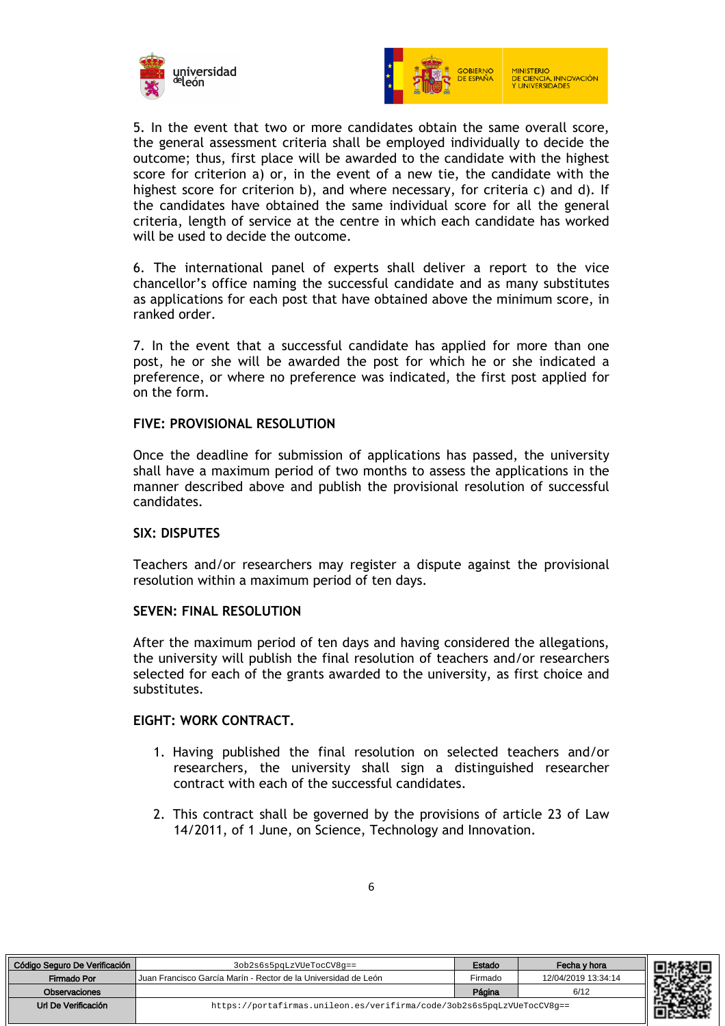



5. In the event that two or more candidates obtain the same overall score, the general assessment criteria shall be employed individually to decide the outcome; thus, first place will be awarded to the candidate with the highest score for criterion a) or, in the event of a new tie, the candidate with the highest score for criterion b), and where necessary, for criteria c) and d). If the candidates have obtained the same individual score for all the general criteria, length of service at the centre in which each candidate has worked will be used to decide the outcome.

6. The international panel of experts shall deliver a report to the vice chancellor's office naming the successful candidate and as many substitutes as applications for each post that have obtained above the minimum score, in ranked order.

7. In the event that a successful candidate has applied for more than one post, he or she will be awarded the post for which he or she indicated a preference, or where no preference was indicated, the first post applied for on the form.

## **FIVE: PROVISIONAL RESOLUTION**

Once the deadline for submission of applications has passed, the university shall have a maximum period of two months to assess the applications in the manner described above and publish the provisional resolution of successful candidates.

#### **SIX: DISPUTES**

Teachers and/or researchers may register a dispute against the provisional resolution within a maximum period of ten days.

#### **SEVEN: FINAL RESOLUTION**

After the maximum period of ten days and having considered the allegations, the university will publish the final resolution of teachers and/or researchers selected for each of the grants awarded to the university, as first choice and substitutes.

#### **EIGHT: WORK CONTRACT.**

- 1. Having published the final resolution on selected teachers and/or researchers, the university shall sign a distinguished researcher contract with each of the successful candidates.
- 2. This contract shall be governed by the provisions of article 23 of Law 14/2011, of 1 June, on Science, Technology and Innovation.

| Código Seguro De Verificación | 3ob2s6s5pqLzVUeTocCV8q==                                               | Estado  | Fecha v hora        |  |
|-------------------------------|------------------------------------------------------------------------|---------|---------------------|--|
| Firmado Por                   | Uuan Francisco García Marín - Rector de la Universidad de León         | Firmado | 12/04/2019 13:34:14 |  |
| Observaciones                 |                                                                        | Página  | 6/12                |  |
| Url De Verificación           | https://portafirmas.unileon.es/verifirma/code/3ob2s6s5pqLzVUeTocCV8q== |         |                     |  |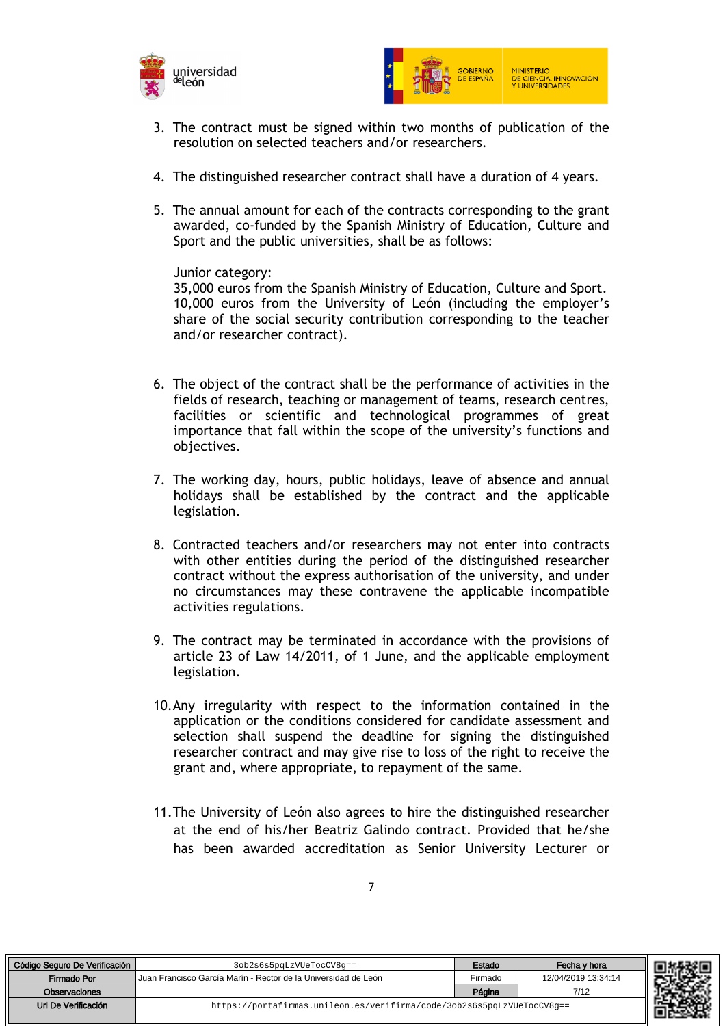



- 3. The contract must be signed within two months of publication of the resolution on selected teachers and/or researchers.
- 4. The distinguished researcher contract shall have a duration of 4 years.
- 5. The annual amount for each of the contracts corresponding to the grant awarded, co-funded by the Spanish Ministry of Education, Culture and Sport and the public universities, shall be as follows:

Junior category:

35,000 euros from the Spanish Ministry of Education, Culture and Sport. 10,000 euros from the University of León (including the employer's share of the social security contribution corresponding to the teacher and/or researcher contract).

- 6. The object of the contract shall be the performance of activities in the fields of research, teaching or management of teams, research centres, facilities or scientific and technological programmes of great importance that fall within the scope of the university's functions and objectives.
- 7. The working day, hours, public holidays, leave of absence and annual holidays shall be established by the contract and the applicable legislation.
- 8. Contracted teachers and/or researchers may not enter into contracts with other entities during the period of the distinguished researcher contract without the express authorisation of the university, and under no circumstances may these contravene the applicable incompatible activities regulations.
- 9. The contract may be terminated in accordance with the provisions of article 23 of Law 14/2011, of 1 June, and the applicable employment legislation.
- 10.Any irregularity with respect to the information contained in the application or the conditions considered for candidate assessment and selection shall suspend the deadline for signing the distinguished researcher contract and may give rise to loss of the right to receive the grant and, where appropriate, to repayment of the same.
- 11.The University of León also agrees to hire the distinguished researcher at the end of his/her Beatriz Galindo contract. Provided that he/she has been awarded accreditation as Senior University Lecturer or

| o Seguro De Verificación | 3ob2s6s5pqLzVUeTocCV8q==                                               | Estado  | Fecha y hora        | 111326 |
|--------------------------|------------------------------------------------------------------------|---------|---------------------|--------|
| Firmado Por              | l Juan Francisco García Marín - Rector de la Universidad de León       | Firmado | 12/04/2019 13:34:14 |        |
| Observaciones            |                                                                        | Página  | 7/12                |        |
| Url De Verificación      | https://portafirmas.unileon.es/verifirma/code/3ob2s6s5pqLzVUeTocCV8q== |         |                     |        |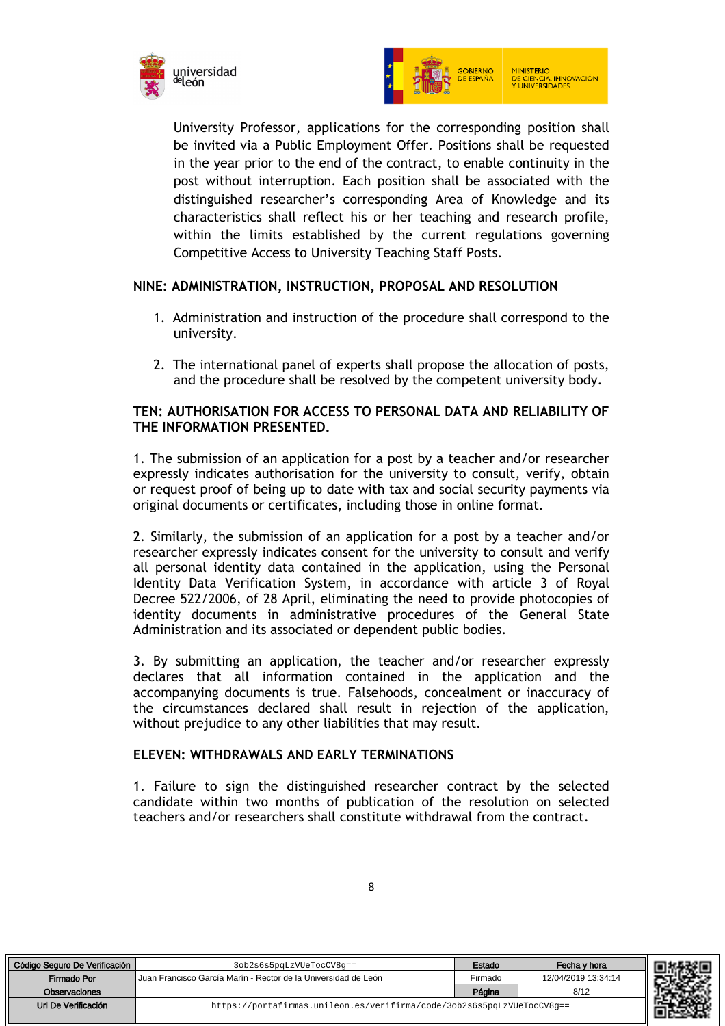



University Professor, applications for the corresponding position shall be invited via a Public Employment Offer. Positions shall be requested in the year prior to the end of the contract, to enable continuity in the post without interruption. Each position shall be associated with the distinguished researcher's corresponding Area of Knowledge and its characteristics shall reflect his or her teaching and research profile, within the limits established by the current regulations governing Competitive Access to University Teaching Staff Posts.

## **NINE: ADMINISTRATION, INSTRUCTION, PROPOSAL AND RESOLUTION**

- 1. Administration and instruction of the procedure shall correspond to the university.
- 2. The international panel of experts shall propose the allocation of posts, and the procedure shall be resolved by the competent university body.

## **TEN: AUTHORISATION FOR ACCESS TO PERSONAL DATA AND RELIABILITY OF THE INFORMATION PRESENTED.**

1. The submission of an application for a post by a teacher and/or researcher expressly indicates authorisation for the university to consult, verify, obtain or request proof of being up to date with tax and social security payments via original documents or certificates, including those in online format.

2. Similarly, the submission of an application for a post by a teacher and/or researcher expressly indicates consent for the university to consult and verify all personal identity data contained in the application, using the Personal Identity Data Verification System, in accordance with article 3 of Royal Decree 522/2006, of 28 April, eliminating the need to provide photocopies of identity documents in administrative procedures of the General State Administration and its associated or dependent public bodies.

3. By submitting an application, the teacher and/or researcher expressly declares that all information contained in the application and the accompanying documents is true. Falsehoods, concealment or inaccuracy of the circumstances declared shall result in rejection of the application, without prejudice to any other liabilities that may result.

## **ELEVEN: WITHDRAWALS AND EARLY TERMINATIONS**

1. Failure to sign the distinguished researcher contract by the selected candidate within two months of publication of the resolution on selected teachers and/or researchers shall constitute withdrawal from the contract.

| Código Seguro De Verificación | 3ob2s6s5pqLzVUeTocCV8q==                                               | Estado  | Fecha v hora        |
|-------------------------------|------------------------------------------------------------------------|---------|---------------------|
| Firmado Por                   | Juan Francisco García Marín - Rector de la Universidad de León         | Firmado | 12/04/2019 13:34:14 |
| Observaciones                 |                                                                        | Página  | 8/12                |
| Url De Verificación           | https://portafirmas.unileon.es/verifirma/code/3ob2s6s5pqLzVUeTocCV8q== |         |                     |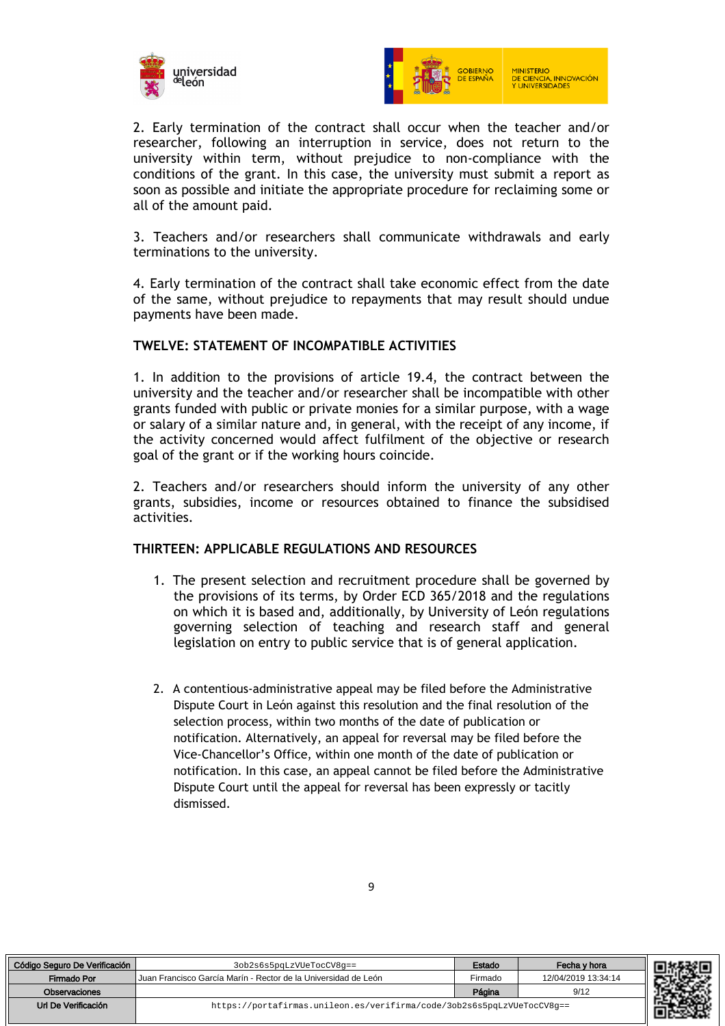



2. Early termination of the contract shall occur when the teacher and/or researcher, following an interruption in service, does not return to the university within term, without prejudice to non-compliance with the conditions of the grant. In this case, the university must submit a report as soon as possible and initiate the appropriate procedure for reclaiming some or all of the amount paid.

3. Teachers and/or researchers shall communicate withdrawals and early terminations to the university.

4. Early termination of the contract shall take economic effect from the date of the same, without prejudice to repayments that may result should undue payments have been made.

#### **TWELVE: STATEMENT OF INCOMPATIBLE ACTIVITIES**

1. In addition to the provisions of article 19.4, the contract between the university and the teacher and/or researcher shall be incompatible with other grants funded with public or private monies for a similar purpose, with a wage or salary of a similar nature and, in general, with the receipt of any income, if the activity concerned would affect fulfilment of the objective or research goal of the grant or if the working hours coincide.

2. Teachers and/or researchers should inform the university of any other grants, subsidies, income or resources obtained to finance the subsidised activities.

## **THIRTEEN: APPLICABLE REGULATIONS AND RESOURCES**

- 1. The present selection and recruitment procedure shall be governed by the provisions of its terms, by Order ECD 365/2018 and the regulations on which it is based and, additionally, by University of León regulations governing selection of teaching and research staff and general legislation on entry to public service that is of general application.
- 2. A contentious-administrative appeal may be filed before the Administrative Dispute Court in León against this resolution and the final resolution of the selection process, within two months of the date of publication or notification. Alternatively, an appeal for reversal may be filed before the Vice-Chancellor's Office, within one month of the date of publication or notification. In this case, an appeal cannot be filed before the Administrative Dispute Court until the appeal for reversal has been expressly or tacitly dismissed.

| Código Seguro De Verificación | 3ob2s6s5pqLzVUeTocCV8q==                                               | Estado  | Fecha v hora        |
|-------------------------------|------------------------------------------------------------------------|---------|---------------------|
| Firmado Por                   | Uuan Francisco García Marín - Rector de la Universidad de León         | Firmado | 12/04/2019 13:34:14 |
| Observaciones                 |                                                                        | Página  | 9/12                |
| Url De Verificación           | https://portafirmas.unileon.es/verifirma/code/3ob2s6s5pqLzVUeTocCV8g== |         |                     |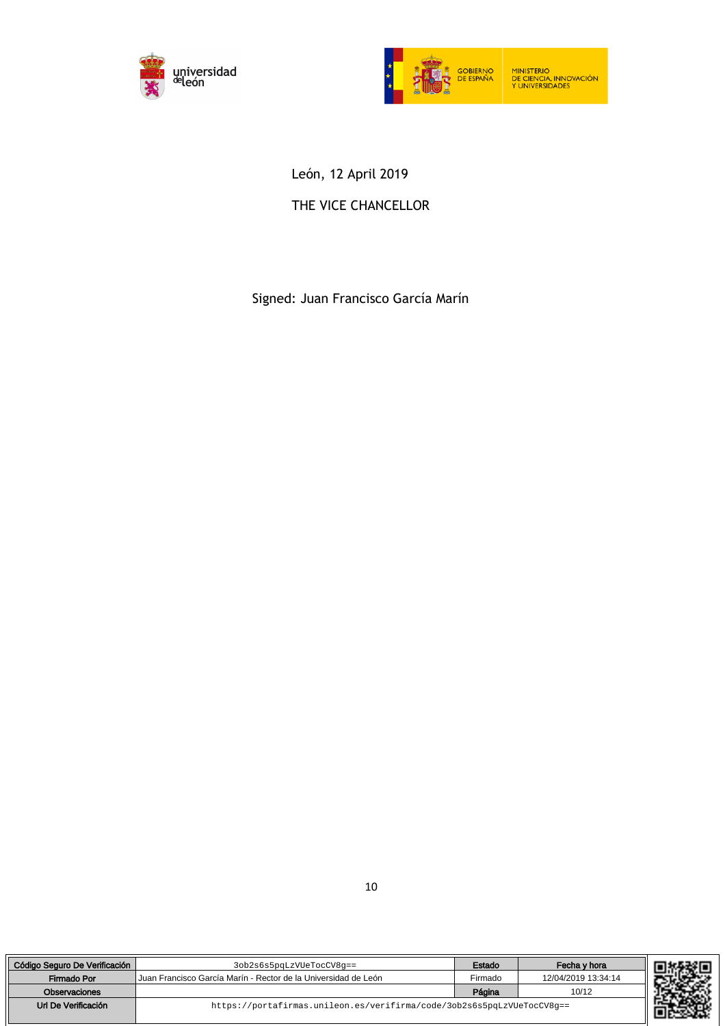



León, 12 April 2019

# THE VICE CHANCELLOR

Signed: Juan Francisco García Marín

| Código Seguro De Verificación | 3ob2s6s5pqLzVUeTocCV8q==                                               | Estado  | Fecha v hora        |
|-------------------------------|------------------------------------------------------------------------|---------|---------------------|
| Firmado Por                   | Uuan Francisco García Marín - Rector de la Universidad de León         | Firmado | 12/04/2019 13:34:14 |
| Observaciones                 |                                                                        | Página  | 10/12               |
| Url De Verificación           | https://portafirmas.unileon.es/verifirma/code/3ob2s6s5pqLzVUeTocCV8q== |         |                     |

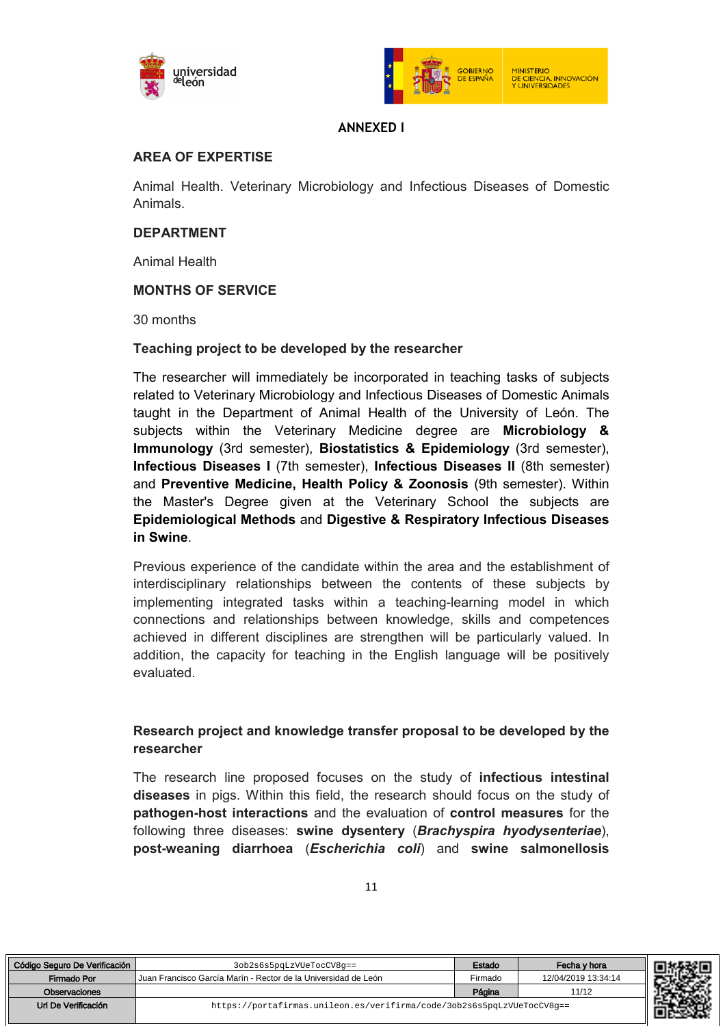



## **ANNEXED I**

## **AREA OF EXPERTISE**

Animal Health. Veterinary Microbiology and Infectious Diseases of Domestic Animals.

## **DEPARTMENT**

Animal Health

## **MONTHS OF SERVICE**

30 months

Código Seguro De Verificación | Sob2s6s5pqLzVUeTocCV8g==

## **Teaching project to be developed by the researcher**

The researcher will immediately be incorporated in teaching tasks of subjects related to Veterinary Microbiology and Infectious Diseases of Domestic Animals taught in the Department of Animal Health of the University of León. The subjects within the Veterinary Medicine degree are **Microbiology & Immunology** (3rd semester), **Biostatistics & Epidemiology** (3rd semester), **Infectious Diseases I** (7th semester), **Infectious Diseases II** (8th semester) and **Preventive Medicine, Health Policy & Zoonosis** (9th semester). Within the Master's Degree given at the Veterinary School the subjects are **Epidemiological Methods** and **Digestive & Respiratory Infectious Diseases in Swine**.

Previous experience of the candidate within the area and the establishment of interdisciplinary relationships between the contents of these subjects by implementing integrated tasks within a teaching-learning model in which connections and relationships between knowledge, skills and competences achieved in different disciplines are strengthen will be particularly valued. In addition, the capacity for teaching in the English language will be positively evaluated.

## **Research project and knowledge transfer proposal to be developed by the researcher**

The research line proposed focuses on the study of **infectious intestinal diseases** in pigs. Within this field, the research should focus on the study of **pathogen-host interactions** and the evaluation of **control measures** for the following three diseases: **swine dysentery** (*Brachyspira hyodysenteriae*), **post-weaning diarrhoea** (*Escherichia coli*) and **swine salmonellosis**

| Seguro De Verificación | 3ob2s6s5pqLzVUeTocCV8g==                                               | Estado  | Fecha v hora        | 同转轻回 |
|------------------------|------------------------------------------------------------------------|---------|---------------------|------|
| Firmado Por            | l Juan Francisco García Marín - Rector de la Universidad de León       | Firmado | 12/04/2019 13:34:14 |      |
| Observaciones          |                                                                        | Página  | 11/12               |      |
| rl De Verificación     | https://portafirmas.unileon.es/verifirma/code/3ob2s6s5pqLzVUeTocCV8q== |         |                     |      |

| I | ۰. |
|---|----|
|   |    |
| ٠ |    |